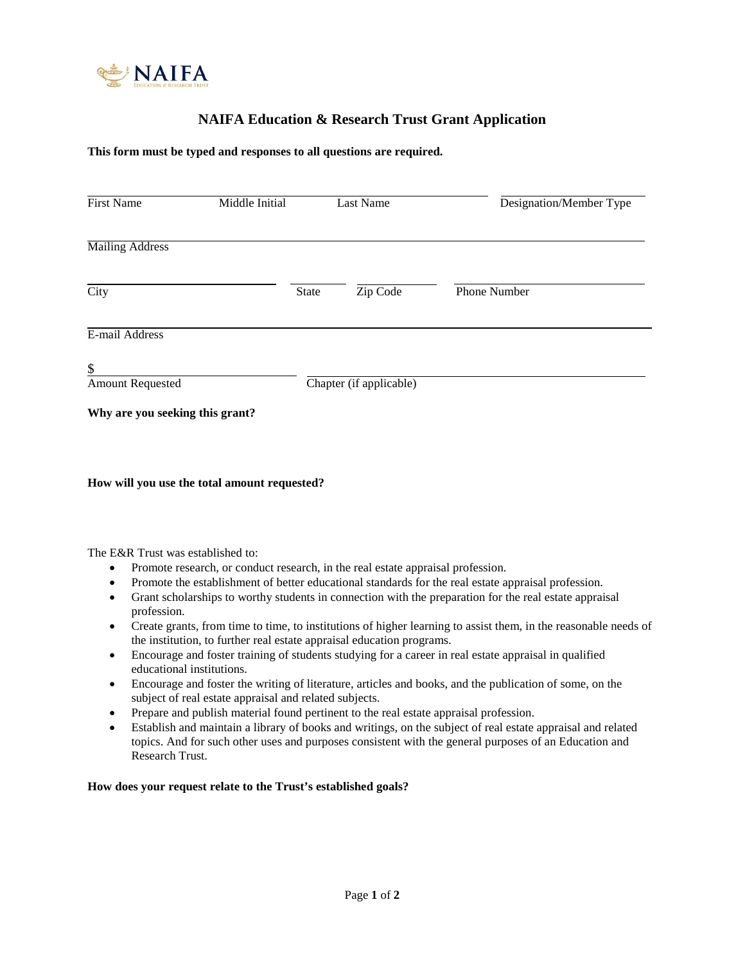

# **NAIFA Education & Research Trust Grant Application**

### **This form must be typed and responses to all questions are required.**

| <b>First Name</b>               | Middle Initial |              | Last Name               | Designation/Member Type |
|---------------------------------|----------------|--------------|-------------------------|-------------------------|
| <b>Mailing Address</b>          |                |              |                         |                         |
| City                            |                | <b>State</b> | Zip Code                | Phone Number            |
| E-mail Address                  |                |              |                         |                         |
| $\S$<br><b>Amount Requested</b> |                |              | Chapter (if applicable) |                         |
| Why are you seeking this grant? |                |              |                         |                         |

#### **How will you use the total amount requested?**

The E&R Trust was established to:

- Promote research, or conduct research, in the real estate appraisal profession.
- Promote the establishment of better educational standards for the real estate appraisal profession.
- Grant scholarships to worthy students in connection with the preparation for the real estate appraisal profession.
- Create grants, from time to time, to institutions of higher learning to assist them, in the reasonable needs of the institution, to further real estate appraisal education programs.
- Encourage and foster training of students studying for a career in real estate appraisal in qualified educational institutions.
- Encourage and foster the writing of literature, articles and books, and the publication of some, on the subject of real estate appraisal and related subjects.
- Prepare and publish material found pertinent to the real estate appraisal profession.
- Establish and maintain a library of books and writings, on the subject of real estate appraisal and related topics. And for such other uses and purposes consistent with the general purposes of an Education and Research Trust.

#### **How does your request relate to the Trust's established goals?**